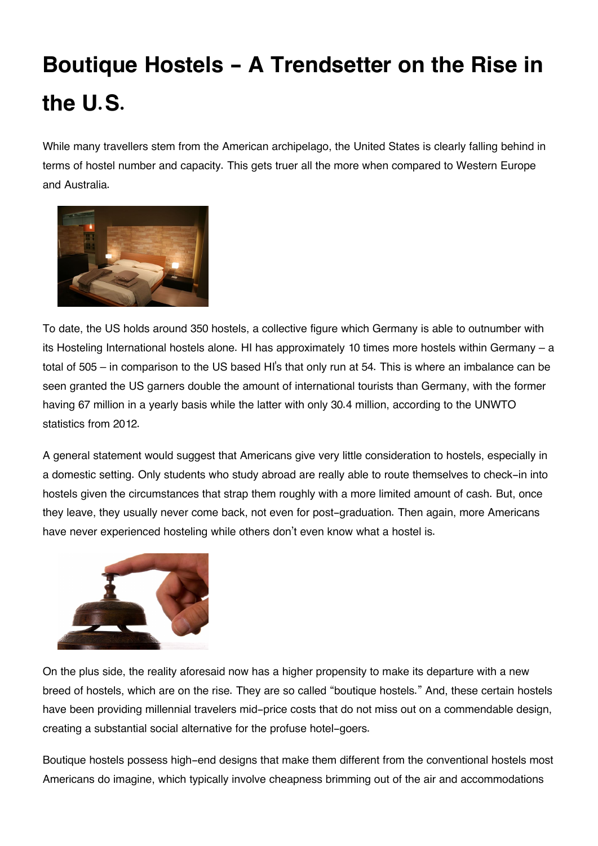## **Boutique Hostels - A Trendsetter on the Rise in the U.S.**

While many travellers stem from the American archipelago, the United States is clearly falling behind in terms of hostel number and capacity. This gets truer all the more when compared to Western Europe and Australia.



To date, the US holds around 350 hostels, a collective figure which Germany is able to outnumber with its Hosteling International hostels alone. HI has approximately 10 times more hostels within Germany – a total of 505 – in comparison to the US based HI's that only run at 54. This is where an imbalance can be seen granted the US garners double the amount of international tourists than Germany, with the former having 67 million in a yearly basis while the latter with only 30.4 million, according to the UNWTO statistics from 2012.

A general statement would suggest that Americans give very little consideration to hostels, especially in a domestic setting. Only students who study abroad are really able to route themselves to check-in into hostels given the circumstances that strap them roughly with a more limited amount of cash. But, once they leave, they usually never come back, not even for post-graduation. Then again, more Americans have never experienced hosteling while others don't even know what a hostel is.



On the plus side, the reality aforesaid now has a higher propensity to make its departure with a new breed of hostels, which are on the rise. They are so called "boutique hostels." And, these certain hostels have been providing millennial travelers mid-price costs that do not miss out on a commendable design, creating a substantial social alternative for the profuse hotel-goers.

Boutique hostels possess high-end designs that make them different from the conventional hostels most Americans do imagine, which typically involve cheapness brimming out of the air and accommodations